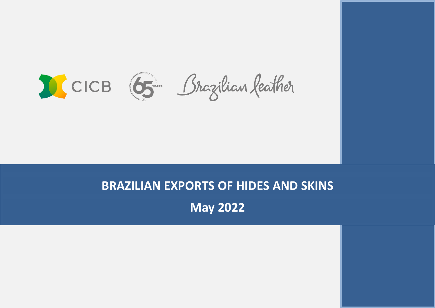CICB (5 Brazilian feather

# **BRAZILIAN EXPORTS OF HIDES AND SKINS May 2022**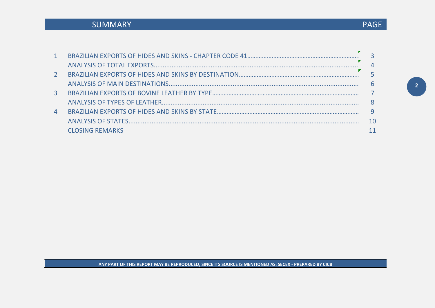## SUMMARY

| 1              |                        |                 |
|----------------|------------------------|-----------------|
|                |                        | $\overline{4}$  |
| $\mathcal{P}$  |                        |                 |
|                |                        | $6\overline{6}$ |
| 3 <sup>1</sup> |                        |                 |
|                |                        |                 |
| 4              |                        |                 |
|                |                        | 10              |
|                | <b>CLOSING REMARKS</b> |                 |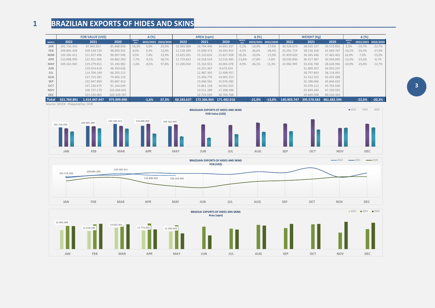## 1 **BRAZILIAN EXPORTS OF HIDES AND SKINS**

|              | <b>FOB VALUE (US\$)</b>       |               |             |                      | $\Delta$ (%) |                     |            | AREA (sqm)              |            |                      |          |                     | <b>WEIGHT (Kg)</b> |                                       |            |                      | $\Delta$ (%) |                     |  |  |
|--------------|-------------------------------|---------------|-------------|----------------------|--------------|---------------------|------------|-------------------------|------------|----------------------|----------|---------------------|--------------------|---------------------------------------|------------|----------------------|--------------|---------------------|--|--|
| <b>MONTH</b> | 2022                          | 2021          | 2020        | <b>MONTH</b><br>2021 |              | 2022/2021 2022/2020 | 2022       | 2021                    | 2020       | <b>MONTH</b><br>2021 |          | 2022/2021 2022/2020 | 2022               | 2021                                  | 2020       | <b>MONTH</b><br>2021 |              | 2022/2021 2022/2020 |  |  |
| <b>JAN</b>   | 101.716.356                   | 97.842.657    | 81.668.858  | $-16,3%$             | 4,0%         | 24,5%               | 12.065.069 | 14.794.446              | 14.641.337 | $-5.2%$              | $-18,4%$ | $-17,6%$            | 30.528.673         | 38.010.157                            | 39.515.855 | 2,9%                 | $-19,7%$     | $-22,7%$            |  |  |
| FEB          | 109.805.209                   | 109.528.720   | 98.050.502  | 8,0%                 | 0,3%         | 12,0%               | 11.518.390 | 15.698.373              | 16.093.955 | $-4.5%$              | $-26,6%$ | $-28,4%$            | 25.501.719         | 38.218.258                            | 41.069.707 | $-16,5%$             | $-33,3%$     | $-37,9%$            |  |  |
| <b>MAR</b>   | 120.185.411                   | 111.927.496   | 96.997.936  | 9,5%                 | 7,4%         | 23,9%               | 13.625.301 | 15.133.632              | 15.827.958 | 18,3%                | $-10,0%$ | $-13,9%$            | 31.859.620         | 34.265.446                            | 37.463.401 | 24,9%                | $-7,0%$      | $-15,0%$            |  |  |
| <b>APR</b>   | 110.898.950                   | 121.951.096   | 69.882.283  | $-7,7%$              | $-9,1%$      | 58,7%               | 11.774.823 | 16.318.524              | 12.510.483 | -13,6%               | $-27,8%$ | $-5,9%$             | 28.030.830         | 36.417.387                            | 30.043.895 | $-12,0\%$            | $-23,0%$     | $-6,7%$             |  |  |
| MAY          | 109.163.965                   | 119.279.811   | 55.183.982  | $-1,6%$              | $-8,5%$      | 97,8%               | 11.200.054 | 15.163.923              | 10.065.078 | -4,9%                | $-26,1%$ | 11,3%               | 24.982.905         | 33.656.700                            | 28.624.906 | $-10,9\%$            | $-25,8%$     | $-12,7%$            |  |  |
| <b>JUN</b>   |                               | 119.014.618   | 48.359.626  |                      |              |                     |            | 14.251.467              | 8.673.424  |                      |          |                     |                    | 31,809,207                            | 26.925.237 |                      |              |                     |  |  |
| <b>JUL</b>   |                               | 114.704.199   | 66.205.213  |                      |              |                     |            | 12.987.305              | 12.498.957 |                      |          |                     |                    | 28.797.843                            | 38.114.991 |                      |              |                     |  |  |
| <b>AUG</b>   |                               | 127.753.281   | 79.465.110  |                      |              |                     |            | 15.456.776              | 14.965.253 |                      |          |                     |                    | 31.412.555                            | 42.425.488 |                      |              |                     |  |  |
| <b>SEP</b>   |                               | 122.947.850   | 83.687.412  |                      |              |                     |            | 13.406.581              | 15.976.282 |                      |          |                     |                    | 32.398.066                            | 45.844.633 |                      |              |                     |  |  |
| OCT          |                               | 147.230.475   | 91.164.639  |                      |              |                     |            | 15.861.118              | 16.061.025 |                      |          |                     |                    | 35.079.112                            | 43.793.546 |                      |              |                     |  |  |
| <b>NOV</b>   |                               | 100.737.179   | 102.004.642 |                      |              |                     |            | 10.511.289              | 17.398.496 |                      |          |                     |                    | 25.844.344                            | 47.350.592 |                      |              |                     |  |  |
| DEC          |                               | 121.530.065   | 103.329.787 |                      |              |                     |            | 12.723.535              | 16.769.768 |                      |          |                     |                    | 29.669.508                            | 40.510.343 |                      |              |                     |  |  |
| Total        | 551.769.891                   | 1.414.447.447 | 975.999.990 |                      | $-1,6%$      | 37,3%               | 60.183.637 | 172.306.969 171.482.016 |            |                      | $-21,9%$ | $-13.0%$            |                    | $140.903.747$ 395.578.583 461.682.594 |            |                      |              | $-22,0\%$ $-20,3\%$ |  |  |
|              | Course CECEV Dropared by CICD |               |             |                      |              |                     |            |                         |            |                      |          |                     |                    |                                       |            |                      |              |                     |  |  |





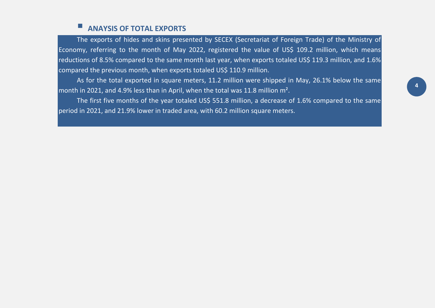## **ANAYSIS OF TOTAL EXPORTS**

The exports of hides and skins presented by SECEX (Secretariat of Foreign Trade) of the Ministry of Economy, referring to the month of May 2022, registered the value of US\$ 109.2 million, which means reductions of 8.5% compared to the same month last year, when exports totaled US\$ 119.3 million, and 1.6% compared the previous month, when exports totaled US\$ 110.9 million.

As for the total exported in square meters, 11.2 million were shipped in May, 26.1% below the same month in 2021, and 4.9% less than in April, when the total was 11.8 million m<sup>2</sup>.

The first five months of the year totaled US\$ 551.8 million, a decrease of 1.6% compared to the same period in 2021, and 21.9% lower in traded area, with 60.2 million square meters.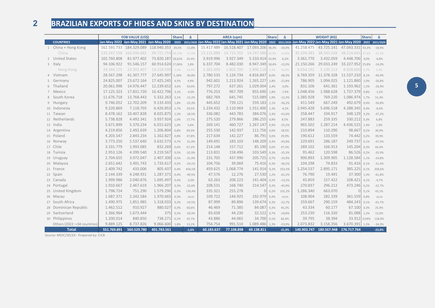## **BRAZILIAN EXPORTS OF HIDES AND SKINS BY DESTINATION\_\_\_\_\_\_\_\_\_\_\_\_\_\_\_\_\_\_\_\_\_\_\_\_\_\_\_\_\_\_\_**

|                              | <b>FOB VALUE (US\$)</b>                                                                                                                                           |                                           |                   | <b>Share</b> | Δ        |            | <b>AREA</b> (sqm)                         |            | Share | $\Delta$ | <b>WEIGHT (KG)</b> |                                    |              |       | Δ        |
|------------------------------|-------------------------------------------------------------------------------------------------------------------------------------------------------------------|-------------------------------------------|-------------------|--------------|----------|------------|-------------------------------------------|------------|-------|----------|--------------------|------------------------------------|--------------|-------|----------|
| <b>COUNTRIES</b>             | Jan-May 2022 Jan-May 2021 Jan-May 2020 2022 2021/2020 Jan-May 2022 Jan-May 2021 Jan-May 2020 2022 2021/2020 Jan-May 2022 Jan-May 2021 Jan-May 2020 2022 2021/2020 |                                           |                   |              |          |            |                                           |            |       |          |                    |                                    |              |       |          |
| 1 China + Hong Kong          |                                                                                                                                                                   | 162.591.733 184.329.089 118.940.353 29,5% |                   |              | $-11,8%$ |            | 15.417.489  16.518.407  17.093.206  38,3% |            |       | $-20,4%$ |                    | 41.258.475  43.725.141  47.043.331 |              | 43,3% | $-18,9%$ |
| China                        | 133.247.558 160.936.682                                                                                                                                           |                                           | 99.721.754.24.15% |              | $-17,2%$ | 13.115.889 | 14.715.702                                | 14.197.088 | 32.9% | $-23,8%$ | 35.204.283         | 38.595.028                         | 38.214.641   | 37,6% | $-21,3%$ |
| 2 United States              | 102.760.808                                                                                                                                                       | 81.977.402                                | 73.820.187 18,62% |              | 25,4%    | 3.919.996  | 3.927.349                                 | 5.310.414  | 10.9% | $-6,2%$  | 3.361.770          | 3.432.059                          | 4.448.706    | 4,0%  | $-6,8%$  |
| 3 Italy                      | 94.106.922                                                                                                                                                        | 91.546.157                                | 60.914.624 17,06% |              | 2,8%     | 6.337.704  | 8.482.030                                 | 8.947.349  | 18,4% | $-12,0%$ | 21.150.266         | 29.033.249                         | 33.227.952   | 25,8% | $-14,0%$ |
| Hong Kong                    | 29.344.175                                                                                                                                                        | 23.392.407                                | 19.218.599        | 5,3%         | 25,4%    | 2.301.600  | 1.802.705                                 | 2.896.118  | 5,4%  | 10,0%    | 6.054.192          | 5.130.113                          | 8.828.690    | 5,7%  | 1,9%     |
| 4 Vietnam                    | 28.567.298                                                                                                                                                        | 41.307.777                                | 27.645.997        | 5,18%        | $-30,8%$ | 2.780.533  | 5.124.734                                 | 4.816.847  | 8,0%  | $-48,3%$ | 6.769.359          | 11.378.328                         | 11.537.210   | 8,1%  | $-44,9%$ |
| 5 Germany                    | 24.825.007                                                                                                                                                        | 23.672.164                                | 17.425.245        | 4,5%         | 4,9%     | 942.601    | 1.213.924                                 | 1.265.227  | 2,8%  | $-21,8%$ | 786.905            | 1.094.025                          | 1.121.860    | 1,0%  | $-26,8%$ |
| 6 Thailand                   | 20.061.998                                                                                                                                                        | 14.976.447                                | 12.239.652        | 3,6%         | 34,0%    | 797.272    | 637.261                                   | 1.029.004  | 2,4%  | $-3,0%$  | 831.106            | 641.361                            | 1.193.962    | 1,5%  | $-24,9%$ |
| 7 Mexico                     | 17.125.323                                                                                                                                                        | 17.831.720                                | 16.422.796        | 3,1%         | $-4,0%$  | 776.253    | 967.709                                   | 855.690    | 1,8%  | $-7,9%$  | 1.048.456          | 1.988.628                          | 1.737.379    | 0,8%  | $-1,5%$  |
| 8 South Korea                | 11.676.718                                                                                                                                                        | 13.768.443                                | 5.332.263         | 2,1%         | $-15,2%$ | 682.769    | 641.745                                   | 515.089    | 1,9%  | $-12,3%$ | 1.385.928          | 769.220                            | 1.086.974    | 1,7%  | 51,4%    |
| 9 Hungary                    | 9.746.052                                                                                                                                                         | 12.702.209                                | 9.133.433         | 1,8%         | $-23,3%$ | 445.652    | 739.121                                   | 559.183    | 1.1%  | $-36,2%$ | 411.549            | 667.249                            | 492.679      | 0,4%  | $-34,8%$ |
| 10 Indonesia                 | 9.220.869                                                                                                                                                         | 7.118.703                                 | 6.426.853         | 1,7%         | 29,5%    | 1.234.432  | 2.110.969                                 | 1.551.400  | 1,3%  | $-4,2%$  | 2.945.428          | 5.696.518                          | 4.288.345    | 0,4%  | $-8,4%$  |
| 11 Taiwan                    | 8.478.162                                                                                                                                                         | 10.407.828                                | 8.025.875         | 1,5%         | $-18,5%$ | 336.082    | 443.783                                   | 384.076    | 3,3%  | $-41,6%$ | 258.447            | 334.917                            | 348.129      | 3,2%  | $-47,2%$ |
| 12 Netherlands               | 5.738.828                                                                                                                                                         | 4.492.341                                 | 3.937.924         | 1,0%         | 27,7%    | 275.520    | 279.866                                   | 286.255    | 0,8%  | 8,5%     | 247.883            | 259.335                            | 330.212      | 0,3%  | 6,8%     |
| 13 India                     | 5.671.899                                                                                                                                                         | 5.370.234                                 | 6.015.623         | 1,0%         | 5,6%     | 269.141    | 460.727                                   | 1.267.147  | 0,9%  | $-25,2%$ | 965.502            | 1.287.214                          | 4.436.515    | 1,4%  | 1,8%     |
| 14 Argentina                 | 4.219.856                                                                                                                                                         | 2.492.639                                 | 1.206.804         | 0,8%         | 69,3%    | 255.530    | 142.937                                   | 111.756    | 0,6%  | 18,5%    | 210.894            | 110.290                            | 98.667       | 0,2%  | 30,9%    |
| 15 Poland                    | 4.203.547                                                                                                                                                         | 2.843.234                                 | 1.162.827         | 0,8%         | 47,8%    | 217.634    | 142.227                                   | 86.791     | 0,6%  | 29,9%    | 190.612            | 133.559                            | 74.442       | 0,2%  | 39,9%    |
| 16 Norway                    | 3.773.250                                                                                                                                                         | 5.537.640                                 | 3.632.573         | 0,7%         | $-31,9%$ | 149.691    | 183.103                                   | 148.209    | 0,3%  | $-45,8%$ | 229.691            | 286.187                            | 249.737      | 0,1%  | $-47,5%$ |
| 17 Chile                     | 3.331.779                                                                                                                                                         | 1.993.085                                 | 832.269           | 0,6%         | 67,2%    | 214.148    | 157.712                                   | 85.190     | 0,6%  | 47,3%    | 289.102            | 166.913                            | 145.204      | 0,3%  | 64,4%    |
| 18 Tunisia                   | 2.953.126                                                                                                                                                         | 4.399.540                                 | 3.219.567         | 0,5%         | $-32,9%$ | 113.831    | 158.496                                   | 103.549    | 0,3%  | $-35,3%$ | 95.462             | 120.598                            | 86.526       | 0,2%  | $-35,9%$ |
| 19 Uruguay                   | 2.704.655                                                                                                                                                         | 3.972.047                                 | 2.407.300         | 0,5%         | $-31,9%$ | 231.705    | 437.990                                   | 205.725    | 0,7%  | $-33,9%$ | 900.893            | 1.309.905                          | 1.128.584    | 1,1%  | $-24,8%$ |
| 20 Malaysia                  | 2.651.642                                                                                                                                                         | 3.491.743                                 | 1.733.617         | 0,5%         | $-24,1%$ | 104.756    | 39.069                                    | 75.416     | 0,3%  | $-36,5%$ | 104.298            | 74.833                             | 91.416 0,1%  |       | $-31,4%$ |
| 21 France                    | 2.409.742                                                                                                                                                         | 433.006                                   | 805.437           | 0,4%         | 456,5%   | 459.625    | 1.068.774                                 | 141.914    | 0,2%  | 353,5%   | 1.254.537          | 2.895.171                          | 385.225      | 0,1%  | 358,6%   |
| 22 Spain                     | 2.144.339                                                                                                                                                         | 4.248.931                                 | 1.287.371         | 0,4%         | $-49,5%$ | 47.576     | 12.276                                    | 27.530     | 1,2%  | $-61,2%$ | 76.790             | 19.491                             | 37.300       | 1,3%  | $-61,8%$ |
| 23 Canada                    | 1.999.986                                                                                                                                                         | 2.040.876                                 | 1.695.497         | 0,4%         | $-2,0%$  | 63.263     | 208.223                                   | 141.404    | 0,2%  | $-13,2%$ | 45.859             | 157.422                            | 108.421      | 0,1%  | $-9,7%$  |
| 24 Portugal                  | 1.910.667                                                                                                                                                         | 2.467.619                                 | 1.966.207         | 0,3%         | $-22,6%$ | 108.531    | 168.740                                   | 214.547    | 0,3%  | $-45,9%$ | 270.837            | 296.212                            | 473.246      | 0,2%  | $-22,7%$ |
| 25 United Kingdom            | 1.798.724                                                                                                                                                         | 751.290                                   | 1.579.296         | 0,3%         | 139,4%   | 335.321    | 255.278                                   |            | 0,2%  | 101,2%   | 1.286.340          | 663.070                            | O            | 0,1%  | 43,1%    |
| 26 Macau                     | 1.687.371                                                                                                                                                         | 2.342.584                                 | 1.970.665         | 0,3%         | $-28,0%$ | 109.722    | 144.925                                   | 192.979    | 0,4%  | $-29,0%$ | 108.904            | 282.339                            | 361.559      | 0,8%  | $-28,4%$ |
| 27 South Africa              | 1.490.975                                                                                                                                                         | 1.851.985                                 | 1.318.033         | 0,3%         | $-19,5%$ | 87.999     | 89.896                                    | 139.674    | 0,3%  | $-22,7%$ | 259.667            | 290.159                            | 484.243      | 0,1%  | $-61,7%$ |
| 28 Dominican Republic        | 1.462.512                                                                                                                                                         | 910.927                                   | 880.027           | 0,3%         | 60,6%    | 46.469     | 71.385                                    | 84.087     | 0,3%  | 45,2%    | 43.334             | 60.177                             | 67.100       | 0,3%  | 25,4%    |
| 29 Switzerland               | 1.366.964                                                                                                                                                         | 1.673.444                                 | 375               | 0,2%         | $-18,3%$ | 83.658     | 44.230                                    | 32.522     | 0,7%  | $-18,8%$ | 253.230            | 116.320                            | 81.088       | 1,2%  | 12,0%    |
| 30 Philippines               | 1.200.014                                                                                                                                                         | 840.850                                   | 738.271           | 0,2%         | 42,7%    | 43.886     | 44.065                                    | 34.700     | 0,1%  | 82,4%    | 39.795             | 38.394                             | 33.912 0,04% |       | 118,9%   |
| Others (2022: +34 countries) | 9.889.125                                                                                                                                                         | 8.737.826                                 | 9.066.600         | 1,8%         | 13,2%    | 754.754    | 991.510                                   | 1.089.486  | 1,3%  | $-23,9%$ | 2.073.832          | 3.158.356                          | 3.670.391    | 1,5%  | $-34,3%$ |
| <b>Total</b>                 | 551.769.891                                                                                                                                                       | 560.529.780                               | 401.783.561       |              | $-1,6%$  | 60.183.637 | 77.108.898                                | 69.138.811 |       | $-21.9%$ | 140,903,747        | 180.567.948                        | 176.717.764  |       | $-22,0%$ |

Source: MDIC/SECEX - Prepared by: CICB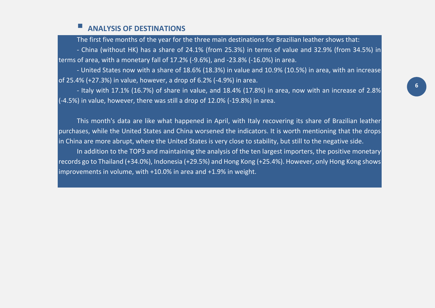#### **ANALYSIS OF DESTINATIONS**

The first five months of the year for the three main destinations for Brazilian leather shows that: - China (without HK) has a share of 24.1% (from 25.3%) in terms of value and 32.9% (from 34.5%) in terms of area, with a monetary fall of 17.2% (-9.6%), and -23.8% (-16.0%) in area.

- United States now with a share of 18.6% (18.3%) in value and 10.9% (10.5%) in area, with an increase of 25.4% (+27.3%) in value, however, a drop of 6.2% (-4.9%) in area.

- Italy with 17.1% (16.7%) of share in value, and 18.4% (17.8%) in area, now with an increase of 2.8% (-4.5%) in value, however, there was still a drop of 12.0% (-19.8%) in area.

This month's data are like what happened in April, with Italy recovering its share of Brazilian leather purchases, while the United States and China worsened the indicators. It is worth mentioning that the drops in China are more abrupt, where the United States is very close to stability, but still to the negative side.

In addition to the TOP3 and maintaining the analysis of the ten largest importers, the positive monetary records go to Thailand (+34.0%), Indonesia (+29.5%) and Hong Kong (+25.4%). However, only Hong Kong shows improvements in volume, with +10.0% in area and +1.9% in weight.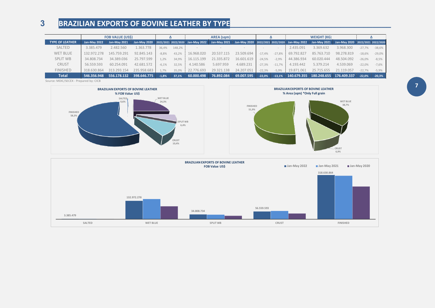## **3 BRAZILIAN EXPORTS OF BOVINE LEATHER BY TYPE**

|                        | <b>FOB VALUE (USS)</b> |                     |             |         | Δ      |            |            |            |          |          |            |                                     |                                  |          |          |
|------------------------|------------------------|---------------------|-------------|---------|--------|------------|------------|------------|----------|----------|------------|-------------------------------------|----------------------------------|----------|----------|
| <b>TYPE OF LEATHER</b> | Jan-May 2022           | <b>Jan-May 2021</b> |             |         |        |            |            |            |          |          |            |                                     | Jan-May 2020 2022/2021 2022/2020 |          |          |
| SALTED                 | 3.385.479              | 2.482.560           | 1.363.778   | 36.4%   | 148.2% |            |            |            |          |          | 2.435.091  | 3.369.632                           | 3.968.300                        | $-27.7%$ | $-38,6%$ |
| <b>WET BLUE</b>        | 132,972,278            | 145.759.291         | 92.845.143  | $-8.8%$ | 43,2%  | 16.968.020 | 20.537.115 | 23.509.694 | $-17.4%$ | $-27.8%$ | 69.792.827 | 85.763.710                          | 98.278.819                       | $-18.6%$ | $-29,0%$ |
| <b>SPLIT WB</b>        | 34.808.734             | 34.389.036          | 25.797.599  | 1.2%    | 34.9%  | 16.115.199 | 21.335.872 | 16.601.619 | $-24.5%$ | $-2.9%$  | 44.386.934 | 60.020.444                          | 48.504.092                       | $-26.0%$ | $-8,5%$  |
| <b>CRUST</b>           | 56.559.593             | 60.254.091          | 42.681.572  | $-6.1%$ | 32.5%  | 4.140.586  | 5.697.959  | 4.689.231  | $-27.3%$ | $-11.7%$ | 4.193.442  | 5.379.214                           | 4.539.069                        | $-22.0%$ | $-7,6%$  |
| <b>FINISHED</b>        | 318.630.864            | 313.293.154         | 235.958.683 | 1.7%    | 35,0%  | 22.776.693 | 29.321.138 | 24.207.051 | $-22.3%$ | $-5,9%$  | 19.871.061 | 25.715.655                          | 21.119.057                       | $-22.7%$ | $-5,9%$  |
| <b>Total</b>           | 546.356.948            | 556.178.132         | 398.646.775 | $-1.8%$ | 37.1%  | 60.000.498 | 76.892.084 | 69.007.595 | $-22.0%$ | $-13.1%$ |            | 140.679.355 180.248.655 176.409.337 |                                  | $-22.0%$ | $-20,3%$ |

Source: MDIC/SECEX - Prepared by: CICB



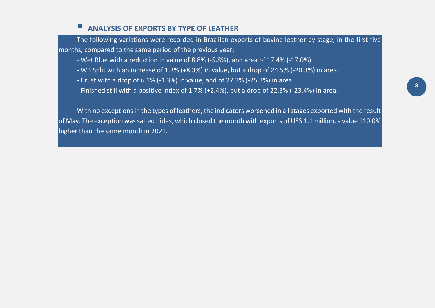#### **ANALYSIS OF EXPORTS BY TYPE OF LEATHER**

The following variations were recorded in Brazilian exports of bovine leather by stage, in the first five months, compared to the same period of the previous year:

- Wet Blue with a reduction in value of 8.8% (-5.8%), and area of 17.4% (-17.0%).
- WB Split with an increase of 1.2% (+8.3%) in value, but a drop of 24.5% (-20.3%) in area.
- Crust with a drop of 6.1% (-1.3%) in value, and of 27.3% (-25.3%) in area.
- Finished still with a positive index of 1.7% (+2.4%), but a drop of 22.3% (-23.4%) in area.

With no exceptions in the types of leathers, the indicators worsened in all stages exported with the result of May. The exception was salted hides, which closed the month with exports of US\$ 1.1 million, a value 110.0% higher than the same month in 2021.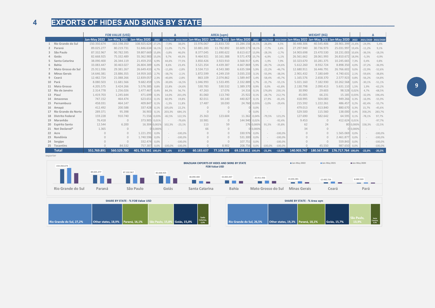## **EXPORTS OF HIDES AND SKINS BY STATE\_\_\_\_\_\_\_\_\_\_\_\_\_\_\_\_\_\_\_\_\_\_\_\_\_\_\_\_\_\_\_\_\_\_\_\_\_\_\_\_\_\_\_\_\_\_\_\_**

|                        | <b>FOB VALUE (US\$)</b> |                                                                                                                                                                                                                               |                    |          | AREA (sqm)<br>Δ |           |            |              |                   |            | Δ         | <b>WEIGHT (KG)</b> | Δ           |             |                    |           |          |           |
|------------------------|-------------------------|-------------------------------------------------------------------------------------------------------------------------------------------------------------------------------------------------------------------------------|--------------------|----------|-----------------|-----------|------------|--------------|-------------------|------------|-----------|--------------------|-------------|-------------|--------------------|-----------|----------|-----------|
|                        |                         | Jan-May 2022   Jan-May 2021   Jan-May 2020   2022   2021/2020   2022/2020   Jan-May 2022 Jan-May 2021 Jan-May 2020   2022   2021/2020   2022   2021/2020   Jan-May 2021 Jan-May 2022   Jan-May 2021 Jan-May 2021 Jan-May 2021 |                    |          |                 |           |            |              |                   |            |           |                    |             |             |                    |           |          |           |
| Rio Grande do Sul      | 150.350.674             | 163.198.350                                                                                                                                                                                                                   | 108.925.624 27,2%  |          | $-7,9%$         | 38,0%     | 15.976.067 | 21.833.720   | 15.284.156 26,5%  |            | $-26,8%$  | 4,5%               | 30.448.306  | 40.545.406  | 28.901.399 21,6%   |           | $-24,9%$ | 5,4%      |
| 2 Paraná               | 89.025.277              | 80.219.731                                                                                                                                                                                                                    | 51.846.634 16,1%   |          | 11.0%           | 71.7%     | 10.881.283 | 11.782.892   | 10.609.173        | 18.1%      | $-7.7%$   | 2.6%               | 27.297.940  | 30.736.973  | 25.031.997 19,4%   |           | $-11,2%$ | 9.1%      |
| 3 São Paulo            | 87.332.967              | 90.782.595                                                                                                                                                                                                                    | 59.807.669 15,8%   |          | $-3.8%$         | 46,0%     | 8.377.045  | 11.690.622   | 8.613.617         | 13,9%      | $-28,3%$  | $-2.7%$            | 14.903.698  | 23.470.530  | 18.231.003 10.6%   |           | $-36,5%$ | $-18,3%$  |
| 4 Goiás                | 82.668.925              | 75.332.489                                                                                                                                                                                                                    | 55.362.983 15,0%   |          | 9,7%            | 49,3%     | 9.464.921  | 10.161.388   | 9.571.470 15,7%   |            | $-6,9%$   | $-1,1%$            | 26.561.662  | 28.061.993  | 26.810.672 18,9%   |           | $-5,3%$  | $-0,9%$   |
| 5 Santa Catarina       | 38,090,400              | 26.344.119                                                                                                                                                                                                                    | 21.459.255         | 6,9%     | 44.6%           | 77,5%     | 3.850.426  | 3.923.910    | 3.568.917         | 6.4%       | $-1,9%$   | 7,9%               | 10.323.670  | 10.281.375  | 10.245.665         | 7.3%      | 0,4%     | 0,8%      |
| 6 Bahia                | 33.083.447              | 30.463.027                                                                                                                                                                                                                    | 26.804.389         | 6,0%     | 8,6%            | 23,4%     | 3.521.354  | 4.439.387    | 4.667.869         | 5,9%       | $-20,7%$  | $-24,6%$           | 5.612.260   | 8.932.724   | 8.898.350          | 4.0%      | $-37,2%$ | $-36,9%$  |
| 7 Mato Grosso do Sul   | 25.911.936              | 29.381.267                                                                                                                                                                                                                    | 26.649.433         | 4,7%     | $-11.8%$        | $-2,8%$   | 3.534.713  | 4.543.380    | 6.635.584         | 5,9%       | $-22,2%$  | $-46,7%$           | 12.680.911  | 16.446.791  | 26.766.602         | 9.0%      | $-22,9%$ | $-52,6%$  |
| 8 Minas Gerais         | 14.646.381              | 23.886.355                                                                                                                                                                                                                    | 14.959.165         | 2,7%     | $-38.7%$        | $-2.1%$   | 1.872.599  | 4.249.159    | 3.035.233         | 3.1%       | $-55,9%$  | $-38.3%$           | 2.901.432   | 7.180.649   | 4.740.631          | 2.1%      | $-59,6%$ | $-38,8%$  |
| 9 Ceará                | 12.482.724              | 21.088.266                                                                                                                                                                                                                    | 12.839.057         | 2,3%     | $-40.8%$        | $-2.8%$   | 863.109    | 2.074.862    | 1.589.447         | 1.4%       | $-58.4%$  | $-45.7%$           | 1.165.576   | 2.658.370   | 2.577.923          | 0.8%      | $-56,2%$ | $-54,8%$  |
| 10 Pará                | 8.080.503               | 11.681.566                                                                                                                                                                                                                    | 9.682.459          | 1,5%     | $-30.8%$        | $-16,5%$  | 1.046.993  | 1.533.495    | 2.332.889         | 1.7%       | $-31,7%$  | $-55,1%$           | 5.021.160   | 7.182.930   | 10.262.568         | 3.6%      | $-30,1%$ | $-51,1%$  |
| 11 Mato Grosso         | 4.205.575               | 3.424.266                                                                                                                                                                                                                     | 5.576.385          | 0,8%     | 22.8%           | $-24.6%$  | 530.783    | 530.532      | 1.389.370         | 0.9%       | 0.0%      | $-61.8%$           | 2.130.798   | 2.090.413   | 5.631.110          | 1.5%      | 1,9%     | $-62,2%$  |
| 12 Rio de Janeiro      | 2.314.778               | 1.256.026                                                                                                                                                                                                                     | 1.477.467          | 0,4%     | 84.3%           | 56,7%     | 47.263     | 17.076       | 14.316            | 0.1%       | 176,8%    | 230.1%             | 30.990      | 29.603      | 98.528 0,02%       |           | 4,7%     | $-68,5%$  |
| 13 Piauí               | 1.419.703               | 1.245.644                                                                                                                                                                                                                     | 471.699            | 0,3%     | 14,0%           | 201,0%    | 81.060     | 113.740      | 25.922            | 0,1%       | $-28.7%$  | 212,7%             | 45.005      | 66.231      | 15.185 0,03%       |           | $-32,0%$ | 196,4%    |
| 14 Amazonas            | 747.152                 | 464.474                                                                                                                                                                                                                       | 623.651            | 0.1%     | 60.9%           | 19.8%     | 82.011     | 64.140       | 440.827           | 0.1%       | 27,9%     | $-81.4%$           | 418.995     | 504.083     | 949.266            | 0.3%      | $-16,9%$ | $-55,9%$  |
| 15 Pernambuco          | 458.031                 | 464.147                                                                                                                                                                                                                       | 409.847            | 0,1%     | $-1.3%$         | 11.8%     | 17.487     | 18.030       | 24.760            | 0,03%      | $-3.0%$   | $-29.4%$           | 215.592     | 1.222.261   | 486.457            | 0.2%      | $-82,4%$ | $-55,7%$  |
| 16 Amapá               | 412.492                 | 200.588                                                                                                                                                                                                                       | 337.428            | 0,1%     | 105.6%          | 22,2%     | $\cap$     | $\Omega$     |                   | 0,0%       |           | $\sim$             | 479.013     | 413.840     | 880.670            | 0.3%      | 15,7%    | $-45,6%$  |
| 17 Rio Grande do Norte | 289.371                 | 95.398                                                                                                                                                                                                                        | 36.903             | 0.1%     | 203.3%          | 684.1%    | $\cap$     | $\Omega$     |                   | $010.0\%$  |           |                    | 529.500     | 115.560     | 138,000            | 0.4%      | 358.2%   | 283.7%    |
| 18 Distrito Federal    | 159.228                 | 910.740                                                                                                                                                                                                                       | 71.556 0,03%       |          | $-82.5%$        | 122,5%    | 25.363     | 123.604      | 11.362            | 0.04%      | $-79.5%$  | 123.2%             | 127.690     | 582.642     | 64.595             | 0.1%      | $-78,1%$ | 97,7%     |
| 19 Maranhão            | 76.418                  | $\Omega$                                                                                                                                                                                                                      | 373.905 0,01%      |          |                 | $-79,6%$  | 10.981     | $\mathbf{0}$ | 144.940 0.02%     |            |           | $-92,4%$           | 9.453       | $\Omega$    | 412.624 0,01%      |           | $\sim$   | $-97,7%$  |
| 20 Espírito Santo      | 12.544                  | 6.200                                                                                                                                                                                                                         | 16.304 0,002%      |          | 102.3%          | $-23.1%$  | 113        | 59           |                   | 176 0.0009 | 91.5%     | $-35.8%$           | 62          | 24          |                    | 80 0.000% | 158.3%   | $-22,5%$  |
| 21 Not Declared*       | 1.365                   | $\Omega$                                                                                                                                                                                                                      |                    | 0 0,000% |                 |           | 66         | $\mathbf{0}$ |                   | 010.0009   |           |                    | 34          | $\cap$      |                    | 0 0.000%  |          |           |
| 22 Acre                | $\Omega$                | $\Omega$                                                                                                                                                                                                                      | 1.221.291          | 0,0%     |                 | $-100,0%$ | $\Omega$   | $\Omega$     | 330.976           | 0.0%       |           | $-100,0%$          | $\Omega$    |             | 1.565.069          | 0.0%      | $\sim$   | $-100,0%$ |
| 23 Rondônia            |                         | $\cap$                                                                                                                                                                                                                        | 1.740.596          | 0.0%     |                 | $-100.0%$ | $\cap$     | $\Omega$     | 531.300           | 0.0%       |           | $-100.0%$          | $\cap$      | $\cap$      | 2.461.877          | 0.0%      | $\sim$   | $-100.0%$ |
| 24 Sergipe             |                         | $\cap$                                                                                                                                                                                                                        | 332.474            | 0.0%     |                 | $-100,0%$ | $\cap$     | $\cap$       | 107.751           | 0.0%       |           | $-100,0%$          | $\bigcap$   | $\Omega$    | 559.843            | 0.0%      | $\sim$   | $-100,0%$ |
| 25 Tocantins           |                         | 84.532                                                                                                                                                                                                                        | 757.387            | 0,0%     | $-100,0%$       | $-100,0%$ | $\cap$     | 8.902        | 208.756           | 0,0%       | $-100,0%$ | $-100,0%$          |             | 45.550      | 987.650            | 0,0%      |          | $-100,0%$ |
| <b>Total</b>           | 551.769.891             | 560.529.780                                                                                                                                                                                                                   | 401.783.561 100,0% |          | $-1.6%$         | 37,3%     | 60.183.637 | 77.108.898   | 69.138.811 100,0% |            | $-21,9%$  | $-13.0%$           | 140.903.747 | 180.567.948 | 176.717.764 100.0% |           | $-22.0%$ | $-20,3%$  |

exporter

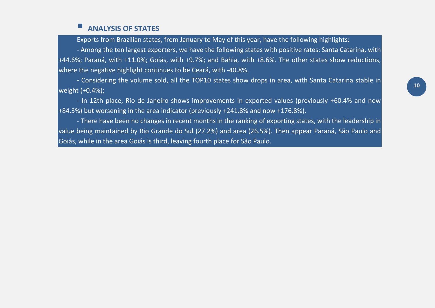## **ANALYSIS OF STATES**

Exports from Brazilian states, from January to May of this year, have the following highlights:

- Among the ten largest exporters, we have the following states with positive rates: Santa Catarina, with +44.6%; Paraná, with +11.0%; Goiás, with +9.7%; and Bahia, with +8.6%. The other states show reductions, where the negative highlight continues to be Ceará, with -40.8%.

- Considering the volume sold, all the TOP10 states show drops in area, with Santa Catarina stable in weight (+0.4%);

- In 12th place, Rio de Janeiro shows improvements in exported values (previously +60.4% and now +84.3%) but worsening in the area indicator (previously +241.8% and now +176.8%).

- There have been no changes in recent months in the ranking of exporting states, with the leadership in value being maintained by Rio Grande do Sul (27.2%) and area (26.5%). Then appear Paraná, São Paulo and Goiás, while in the area Goiás is third, leaving fourth place for São Paulo.